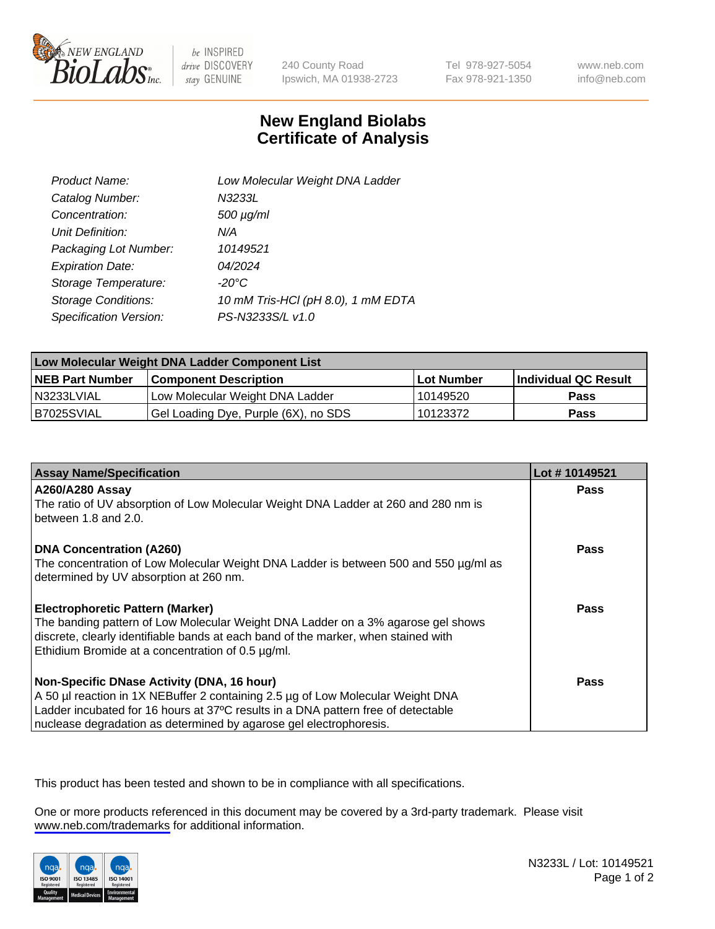

be INSPIRED drive DISCOVERY stay GENUINE

240 County Road Ipswich, MA 01938-2723 Tel 978-927-5054 Fax 978-921-1350

www.neb.com info@neb.com

## **New England Biolabs Certificate of Analysis**

| Product Name:           | Low Molecular Weight DNA Ladder    |
|-------------------------|------------------------------------|
| Catalog Number:         | N3233L                             |
| Concentration:          | $500 \mu g/ml$                     |
| Unit Definition:        | N/A                                |
| Packaging Lot Number:   | 10149521                           |
| <b>Expiration Date:</b> | 04/2024                            |
| Storage Temperature:    | $-20^{\circ}$ C                    |
| Storage Conditions:     | 10 mM Tris-HCl (pH 8.0), 1 mM EDTA |
| Specification Version:  | PS-N3233S/L v1.0                   |

| Low Molecular Weight DNA Ladder Component List |                                      |                   |                      |  |
|------------------------------------------------|--------------------------------------|-------------------|----------------------|--|
| <b>NEB Part Number</b>                         | <b>Component Description</b>         | <b>Lot Number</b> | Individual QC Result |  |
| N3233LVIAL                                     | Low Molecular Weight DNA Ladder      | 10149520          | Pass                 |  |
| B7025SVIAL                                     | Gel Loading Dye, Purple (6X), no SDS | 10123372          | <b>Pass</b>          |  |

| <b>Assay Name/Specification</b>                                                                                                                                                                                                                                                          | Lot #10149521 |
|------------------------------------------------------------------------------------------------------------------------------------------------------------------------------------------------------------------------------------------------------------------------------------------|---------------|
| <b>A260/A280 Assay</b><br>The ratio of UV absorption of Low Molecular Weight DNA Ladder at 260 and 280 nm is<br>between 1.8 and 2.0.                                                                                                                                                     | <b>Pass</b>   |
| <b>DNA Concentration (A260)</b><br>The concentration of Low Molecular Weight DNA Ladder is between 500 and 550 µg/ml as<br>determined by UV absorption at 260 nm.                                                                                                                        | Pass          |
| <b>Electrophoretic Pattern (Marker)</b><br>The banding pattern of Low Molecular Weight DNA Ladder on a 3% agarose gel shows<br>discrete, clearly identifiable bands at each band of the marker, when stained with<br>Ethidium Bromide at a concentration of $0.5 \mu g/ml$ .             | Pass          |
| Non-Specific DNase Activity (DNA, 16 hour)<br>A 50 µl reaction in 1X NEBuffer 2 containing 2.5 µg of Low Molecular Weight DNA<br>Ladder incubated for 16 hours at 37°C results in a DNA pattern free of detectable<br>nuclease degradation as determined by agarose gel electrophoresis. | Pass          |

This product has been tested and shown to be in compliance with all specifications.

One or more products referenced in this document may be covered by a 3rd-party trademark. Please visit <www.neb.com/trademarks>for additional information.